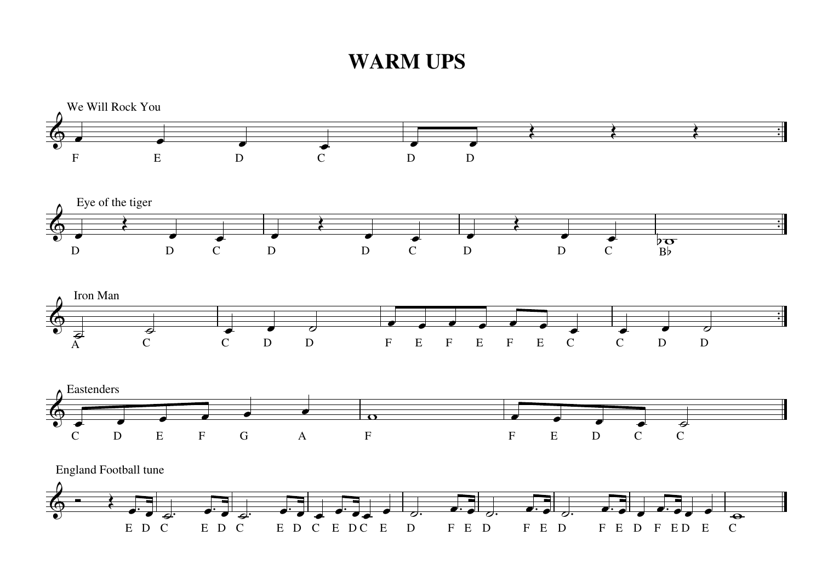## **WARM UPS**